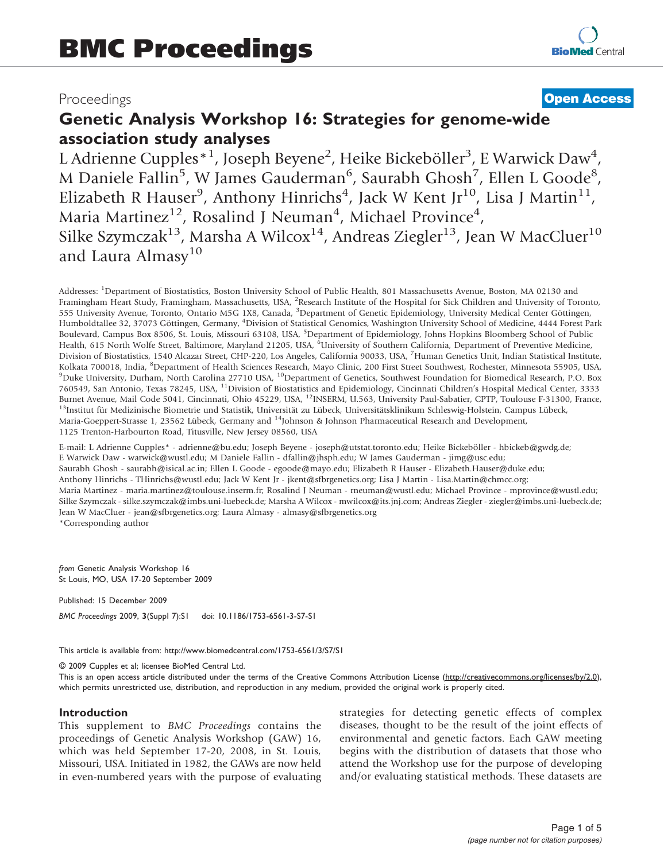## Proceedings

## **[Open Access](http://www.biomedcentral.com/info/about/charter/)**

# Genetic Analysis Workshop 16: Strategies for genome-wide association study analyses

L Adrienne Cupples<sup>\*1</sup>, Joseph Beyene<sup>2</sup>, Heike Bickeböller<sup>3</sup>, E Warwick Daw<sup>4</sup>, M Daniele Fallin<sup>5</sup>, W James Gauderman<sup>6</sup>, Saurabh Ghosh<sup>7</sup>, Ellen L Goode<sup>8</sup>, Elizabeth R Hauser<sup>9</sup>, Anthony Hinrichs<sup>4</sup>, Jack W Kent Jr<sup>10</sup>, Lisa J Martin<sup>11</sup>, Maria Martinez<sup>12</sup>, Rosalind J Neuman<sup>4</sup>, Michael Province<sup>4</sup>, Silke Szymczak<sup>13</sup>, Marsha A Wilcox<sup>14</sup>, Andreas Ziegler<sup>13</sup>, Jean W MacCluer<sup>10</sup> and Laura Almasy<sup>10</sup>

Addresses: <sup>1</sup>Department of Biostatistics, Boston University School of Public Health, 801 Massachusetts Avenue, Boston, MA 02130 and Framingham Heart Study, Framingham, Massachusetts, USA, <sup>2</sup>Research Institute of the Hospital for Sick Children and University of Toronto, 555 University Avenue, Toronto, Ontario M5G 1X8, Canada, <sup>3</sup>Department of Genetic Epidemiology, University Medical Center Göttingen, Humboldtallee 32, 37073 Göttingen, Germany, <sup>4</sup>Division of Statistical Genomics, Washington University School of Medicine, 4444 Forest Park Boulevard, Campus Box 8506, St. Louis, Missouri 63108, USA, <sup>5</sup>Department of Epidemiology, Johns Hopkins Bloomberg School of Public Health, 615 North Wolfe Street, Baltimore, Maryland 21205, USA, <sup>5</sup>University of Southern California, Department of Preventive Medicine, Division of Biostatistics, 1540 Alcazar Street, CHP-220, Los Angeles, California 90033, USA, <sup>7</sup>Human Genetics Unit, Indian Statistical Institute, Kolkata 700018, India, <sup>8</sup>Department of Health Sciences Research, Mayo Clinic, 200 First Street Southwest, Rochester, Minnesota 55905, USA,<br><sup>9</sup>Duke University, Durham, North Carolina 27710 USA, <sup>10</sup>Department of Cenetics, <sup>9</sup>Duke University, Durham, North Carolina 27710 USA, <sup>10</sup>Department of Genetics, Southwest Foundation for Biomedical Research, P.O. Box 760549, San Antonio, Texas 78245, USA, 11Division of Biostatistics and Epidemiology, Cincinnati Children's Hospital Medical Center, 3333 Burnet Avenue, Mail Code 5041, Cincinnati, Ohio 45229, USA, <sup>12</sup>INSERM, U.563, University Paul-Sabatier, CPTP, Toulouse F-31300, France, <sup>13</sup>Institut für Medizinische Biometrie und Statistik, Universität zu Lübeck, Univers Maria-Goeppert-Strasse 1, 23562 Lübeck, Germany and <sup>14</sup>Johnson & Johnson Pharmaceutical Research and Development, 1125 Trenton-Harbourton Road, Titusville, New Jersey 08560, USA

E-mail: L Adrienne Cupples\* - [adrienne@bu.edu;](mailto:adrienne@bu.edu) Joseph Beyene - [joseph@utstat.toronto.edu](mailto:joseph@utstat.toronto.edu); Heike Bickeböller - [hbickeb@gwdg.de](mailto:hbickeb@gwdg.de); E Warwick Daw - [warwick@wustl.edu](mailto:warwick@wustl.edu); M Daniele Fallin - [dfallin@jhsph.edu;](mailto:dfallin@jhsph.edu) W James Gauderman - [jimg@usc.edu;](mailto:jimg@usc.edu) Saurabh Ghosh - [saurabh@isical.ac.in](mailto:saurabh@isical.ac.in); Ellen L Goode - [egoode@mayo.edu;](mailto:egoode@mayo.edu) Elizabeth R Hauser - [Elizabeth.Hauser@duke.edu;](mailto:Elizabeth.Hauser@duke.edu) Anthony Hinrichs - [THinrichs@wustl.edu;](mailto:THinrichs@wustl.edu) Jack W Kent Jr - [jkent@sfbrgenetics.org;](mailto:jkent@sfbrgenetics.org) Lisa J Martin - [Lisa.Martin@chmcc.org;](mailto:Lisa.Martin@chmcc.org) Maria Martinez - [maria.martinez@toulouse.inserm.fr;](mailto:maria.martinez@toulouse.inserm.fr) Rosalind J Neuman - [rneuman@wustl.edu](mailto:rneuman@wustl.edu); Michael Province - [mprovince@wustl.edu;](mailto:mprovince@wustl.edu) Silke Szymczak - [silke.szymczak@imbs.uni-luebeck.de;](mailto:silke.szymczak@imbs.uni-luebeck.de) Marsha A Wilcox - [mwilcox@its.jnj.com;](mailto:mwilcox@its.jnj.com) Andreas Ziegler - [ziegler@imbs.uni-luebeck.de](mailto:ziegler@imbs.uni-luebeck.de); Jean W MacCluer - [jean@sfbrgenetics.org;](mailto:jean@sfbrgenetics.org) Laura Almasy - [almasy@sfbrgenetics.org](mailto:almasy@sfbrgenetics.org) \*Corresponding author

from Genetic Analysis Workshop 16 St Louis, MO, USA 17-20 September 2009

Published: 15 December 2009 BMC Proceedings 2009, 3(Suppl 7):S1 doi: 10.1186/1753-6561-3-S7-S1

This article is available from: http://www.biomedcentral.com/1753-6561/3/S7/S1

© 2009 Cupples et al; licensee BioMed Central Ltd.

This is an open access article distributed under the terms of the Creative Commons Attribution License [\(http://creativecommons.org/licenses/by/2.0\)](http://creativecommons.org/licenses/by/2.0), which permits unrestricted use, distribution, and reproduction in any medium, provided the original work is properly cited.

#### Introduction

This supplement to BMC Proceedings contains the proceedings of Genetic Analysis Workshop (GAW) 16, which was held September 17-20, 2008, in St. Louis, Missouri, USA. Initiated in 1982, the GAWs are now held in even-numbered years with the purpose of evaluating strategies for detecting genetic effects of complex diseases, thought to be the result of the joint effects of environmental and genetic factors. Each GAW meeting begins with the distribution of datasets that those who attend the Workshop use for the purpose of developing and/or evaluating statistical methods. These datasets are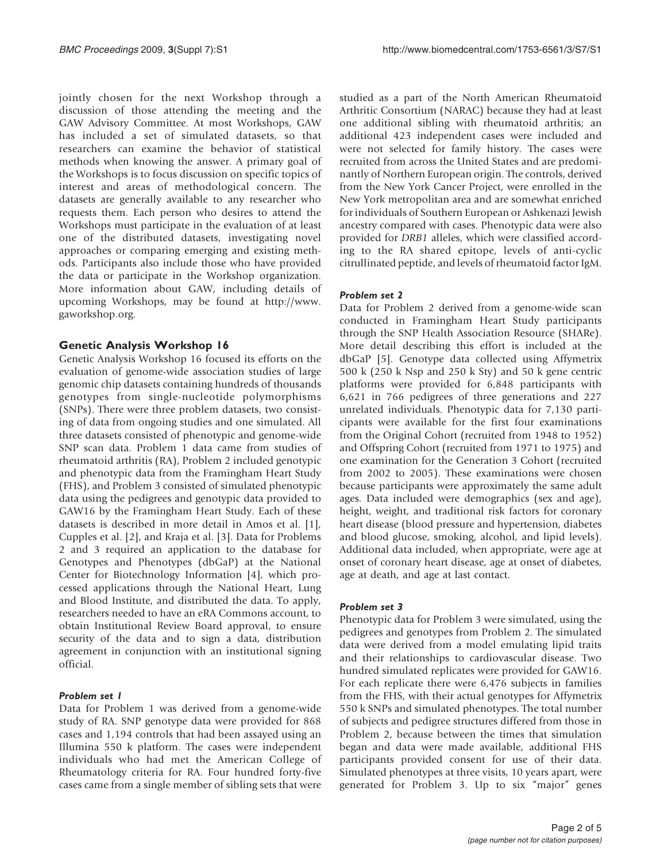jointly chosen for the next Workshop through a discussion of those attending the meeting and the GAW Advisory Committee. At most Workshops, GAW has included a set of simulated datasets, so that researchers can examine the behavior of statistical methods when knowing the answer. A primary goal of the Workshops is to focus discussion on specific topics of interest and areas of methodological concern. The datasets are generally available to any researcher who requests them. Each person who desires to attend the Workshops must participate in the evaluation of at least one of the distributed datasets, investigating novel approaches or comparing emerging and existing methods. Participants also include those who have provided the data or participate in the Workshop organization. More information about GAW, including details of upcoming Workshops, may be found at [http://www.](http://www.gaworkshop.org) [gaworkshop.org](http://www.gaworkshop.org).

### Genetic Analysis Workshop 16

Genetic Analysis Workshop 16 focused its efforts on the evaluation of genome-wide association studies of large genomic chip datasets containing hundreds of thousands genotypes from single-nucleotide polymorphisms (SNPs). There were three problem datasets, two consisting of data from ongoing studies and one simulated. All three datasets consisted of phenotypic and genome-wide SNP scan data. Problem 1 data came from studies of rheumatoid arthritis (RA), Problem 2 included genotypic and phenotypic data from the Framingham Heart Study (FHS), and Problem 3 consisted of simulated phenotypic data using the pedigrees and genotypic data provided to GAW16 by the Framingham Heart Study. Each of these datasets is described in more detail in Amos et al. [[1](#page-4-0)], Cupples et al. [[2](#page-4-0)], and Kraja et al. [[3](#page-4-0)]. Data for Problems 2 and 3 required an application to the database for Genotypes and Phenotypes (dbGaP) at the National Center for Biotechnology Information [[4](#page-4-0)], which processed applications through the National Heart, Lung and Blood Institute, and distributed the data. To apply, researchers needed to have an eRA Commons account, to obtain Institutional Review Board approval, to ensure security of the data and to sign a data, distribution agreement in conjunction with an institutional signing official.

#### Problem set 1

Data for Problem 1 was derived from a genome-wide study of RA. SNP genotype data were provided for 868 cases and 1,194 controls that had been assayed using an Illumina 550 k platform. The cases were independent individuals who had met the American College of Rheumatology criteria for RA. Four hundred forty-five cases came from a single member of sibling sets that were studied as a part of the North American Rheumatoid Arthritic Consortium (NARAC) because they had at least one additional sibling with rheumatoid arthritis; an additional 423 independent cases were included and were not selected for family history. The cases were recruited from across the United States and are predominantly of Northern European origin. The controls, derived from the New York Cancer Project, were enrolled in the New York metropolitan area and are somewhat enriched for individuals of Southern European or Ashkenazi Jewish ancestry compared with cases. Phenotypic data were also provided for DRB1 alleles, which were classified according to the RA shared epitope, levels of anti-cyclic citrullinated peptide, and levels of rheumatoid factor IgM.

#### Problem set 2

Data for Problem 2 derived from a genome-wide scan conducted in Framingham Heart Study participants through the SNP Health Association Resource (SHARe). More detail describing this effort is included at the dbGaP [[5](#page-4-0)]. Genotype data collected using Affymetrix 500 k (250 k Nsp and 250 k Sty) and 50 k gene centric platforms were provided for 6,848 participants with 6,621 in 766 pedigrees of three generations and 227 unrelated individuals. Phenotypic data for 7,130 participants were available for the first four examinations from the Original Cohort (recruited from 1948 to 1952) and Offspring Cohort (recruited from 1971 to 1975) and one examination for the Generation 3 Cohort (recruited from 2002 to 2005). These examinations were chosen because participants were approximately the same adult ages. Data included were demographics (sex and age), height, weight, and traditional risk factors for coronary heart disease (blood pressure and hypertension, diabetes and blood glucose, smoking, alcohol, and lipid levels). Additional data included, when appropriate, were age at onset of coronary heart disease, age at onset of diabetes, age at death, and age at last contact.

#### Problem set 3

Phenotypic data for Problem 3 were simulated, using the pedigrees and genotypes from Problem 2. The simulated data were derived from a model emulating lipid traits and their relationships to cardiovascular disease. Two hundred simulated replicates were provided for GAW16. For each replicate there were 6,476 subjects in families from the FHS, with their actual genotypes for Affymetrix 550 k SNPs and simulated phenotypes. The total number of subjects and pedigree structures differed from those in Problem 2, because between the times that simulation began and data were made available, additional FHS participants provided consent for use of their data. Simulated phenotypes at three visits, 10 years apart, were generated for Problem 3. Up to six "major" genes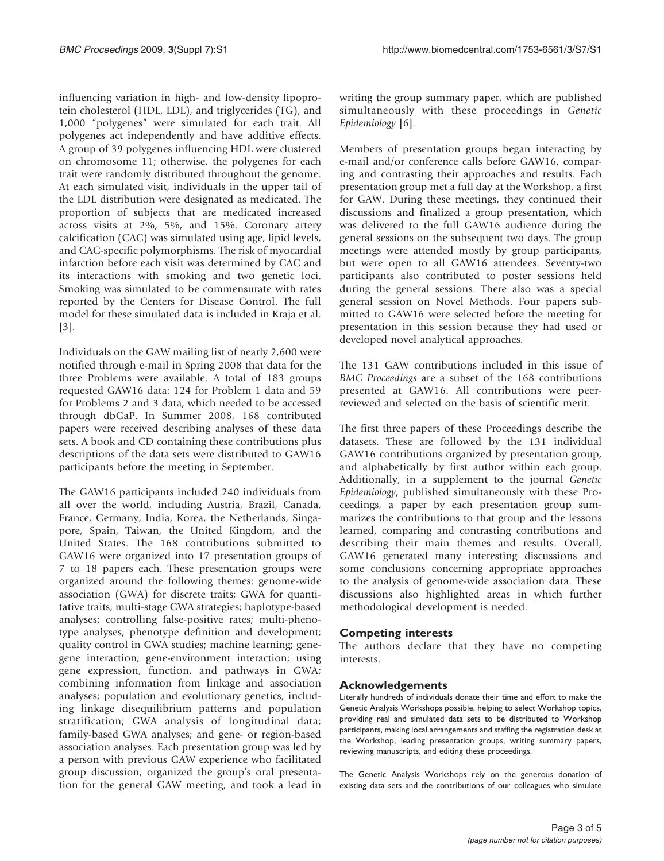influencing variation in high- and low-density lipoprotein cholesterol (HDL, LDL), and triglycerides (TG), and 1,000 "polygenes" were simulated for each trait. All polygenes act independently and have additive effects. A group of 39 polygenes influencing HDL were clustered on chromosome 11; otherwise, the polygenes for each trait were randomly distributed throughout the genome. At each simulated visit, individuals in the upper tail of the LDL distribution were designated as medicated. The proportion of subjects that are medicated increased across visits at 2%, 5%, and 15%. Coronary artery calcification (CAC) was simulated using age, lipid levels, and CAC-specific polymorphisms. The risk of myocardial infarction before each visit was determined by CAC and its interactions with smoking and two genetic loci. Smoking was simulated to be commensurate with rates reported by the Centers for Disease Control. The full model for these simulated data is included in Kraja et al. [[3](#page-4-0)].

Individuals on the GAW mailing list of nearly 2,600 were notified through e-mail in Spring 2008 that data for the three Problems were available. A total of 183 groups requested GAW16 data: 124 for Problem 1 data and 59 for Problems 2 and 3 data, which needed to be accessed through dbGaP. In Summer 2008, 168 contributed papers were received describing analyses of these data sets. A book and CD containing these contributions plus descriptions of the data sets were distributed to GAW16 participants before the meeting in September.

The GAW16 participants included 240 individuals from all over the world, including Austria, Brazil, Canada, France, Germany, India, Korea, the Netherlands, Singapore, Spain, Taiwan, the United Kingdom, and the United States. The 168 contributions submitted to GAW16 were organized into 17 presentation groups of 7 to 18 papers each. These presentation groups were organized around the following themes: genome-wide association (GWA) for discrete traits; GWA for quantitative traits; multi-stage GWA strategies; haplotype-based analyses; controlling false-positive rates; multi-phenotype analyses; phenotype definition and development; quality control in GWA studies; machine learning; genegene interaction; gene-environment interaction; using gene expression, function, and pathways in GWA; combining information from linkage and association analyses; population and evolutionary genetics, including linkage disequilibrium patterns and population stratification; GWA analysis of longitudinal data; family-based GWA analyses; and gene- or region-based association analyses. Each presentation group was led by a person with previous GAW experience who facilitated group discussion, organized the group's oral presentation for the general GAW meeting, and took a lead in writing the group summary paper, which are published simultaneously with these proceedings in Genetic Epidemiology [\[6\]](#page-4-0).

Members of presentation groups began interacting by e-mail and/or conference calls before GAW16, comparing and contrasting their approaches and results. Each presentation group met a full day at the Workshop, a first for GAW. During these meetings, they continued their discussions and finalized a group presentation, which was delivered to the full GAW16 audience during the general sessions on the subsequent two days. The group meetings were attended mostly by group participants, but were open to all GAW16 attendees. Seventy-two participants also contributed to poster sessions held during the general sessions. There also was a special general session on Novel Methods. Four papers submitted to GAW16 were selected before the meeting for presentation in this session because they had used or developed novel analytical approaches.

The 131 GAW contributions included in this issue of BMC Proceedings are a subset of the 168 contributions presented at GAW16. All contributions were peerreviewed and selected on the basis of scientific merit.

The first three papers of these Proceedings describe the datasets. These are followed by the 131 individual GAW16 contributions organized by presentation group, and alphabetically by first author within each group. Additionally, in a supplement to the journal Genetic Epidemiology, published simultaneously with these Proceedings, a paper by each presentation group summarizes the contributions to that group and the lessons learned, comparing and contrasting contributions and describing their main themes and results. Overall, GAW16 generated many interesting discussions and some conclusions concerning appropriate approaches to the analysis of genome-wide association data. These discussions also highlighted areas in which further methodological development is needed.

### Competing interests

The authors declare that they have no competing interests.

### Acknowledgements

Literally hundreds of individuals donate their time and effort to make the Genetic Analysis Workshops possible, helping to select Workshop topics, providing real and simulated data sets to be distributed to Workshop participants, making local arrangements and staffing the registration desk at the Workshop, leading presentation groups, writing summary papers, reviewing manuscripts, and editing these proceedings.

The Genetic Analysis Workshops rely on the generous donation of existing data sets and the contributions of our colleagues who simulate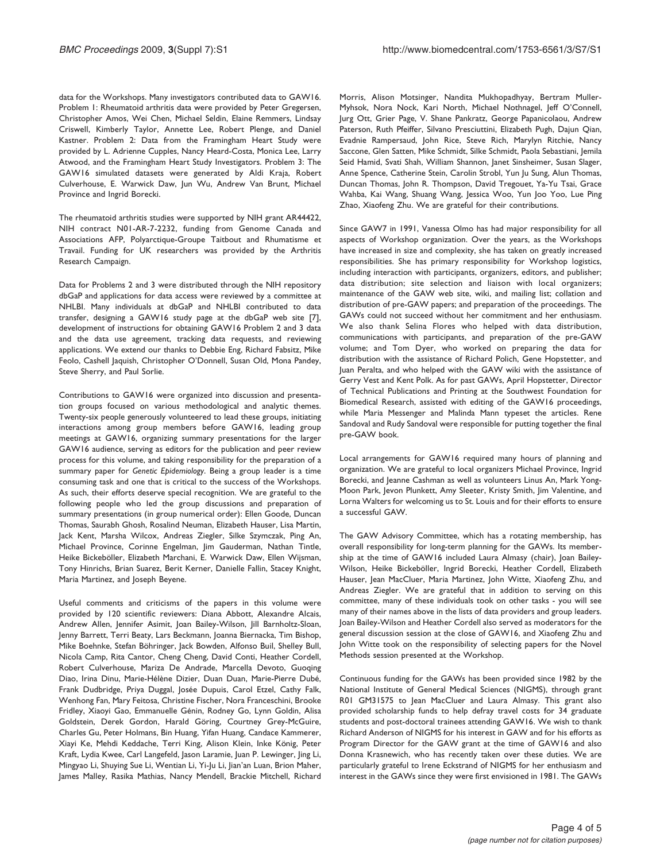data for the Workshops. Many investigators contributed data to GAW16. Problem 1: Rheumatoid arthritis data were provided by Peter Gregersen, Christopher Amos, Wei Chen, Michael Seldin, Elaine Remmers, Lindsay Criswell, Kimberly Taylor, Annette Lee, Robert Plenge, and Daniel Kastner. Problem 2: Data from the Framingham Heart Study were provided by L. Adrienne Cupples, Nancy Heard-Costa, Monica Lee, Larry Atwood, and the Framingham Heart Study Investigators. Problem 3: The GAW16 simulated datasets were generated by Aldi Kraja, Robert Culverhouse, E. Warwick Daw, Jun Wu, Andrew Van Brunt, Michael Province and Ingrid Borecki.

The rheumatoid arthritis studies were supported by NIH grant AR44422, NIH contract N01-AR-7-2232, funding from Genome Canada and Associations AFP, Polyarctique-Groupe Taitbout and Rhumatisme et Travail. Funding for UK researchers was provided by the Arthritis Research Campaign.

Data for Problems 2 and 3 were distributed through the NIH repository dbGaP and applications for data access were reviewed by a committee at NHLBI. Many individuals at dbGaP and NHLBI contributed to data transfer, designing a GAW16 study page at the dbGaP web site [[7\]](#page-4-0), development of instructions for obtaining GAW16 Problem 2 and 3 data and the data use agreement, tracking data requests, and reviewing applications. We extend our thanks to Debbie Eng, Richard Fabsitz, Mike Feolo, Cashell Jaquish, Christopher O'Donnell, Susan Old, Mona Pandey, Steve Sherry, and Paul Sorlie.

Contributions to GAW16 were organized into discussion and presentation groups focused on various methodological and analytic themes. Twenty-six people generously volunteered to lead these groups, initiating interactions among group members before GAW16, leading group meetings at GAW16, organizing summary presentations for the larger GAW16 audience, serving as editors for the publication and peer review process for this volume, and taking responsibility for the preparation of a summary paper for Genetic Epidemiology. Being a group leader is a time consuming task and one that is critical to the success of the Workshops. As such, their efforts deserve special recognition. We are grateful to the following people who led the group discussions and preparation of summary presentations (in group numerical order): Ellen Goode, Duncan Thomas, Saurabh Ghosh, Rosalind Neuman, Elizabeth Hauser, Lisa Martin, Jack Kent, Marsha Wilcox, Andreas Ziegler, Silke Szymczak, Ping An, Michael Province, Corinne Engelman, Jim Gauderman, Nathan Tintle, Heike Bickeböller, Elizabeth Marchani, E. Warwick Daw, Ellen Wijsman, Tony Hinrichs, Brian Suarez, Berit Kerner, Danielle Fallin, Stacey Knight, Maria Martinez, and Joseph Beyene.

Useful comments and criticisms of the papers in this volume were provided by 120 scientific reviewers: Diana Abbott, Alexandre Alcais, Andrew Allen, Jennifer Asimit, Joan Bailey-Wilson, Jill Barnholtz-Sloan, Jenny Barrett, Terri Beaty, Lars Beckmann, Joanna Biernacka, Tim Bishop, Mike Boehnke, Stefan Böhringer, Jack Bowden, Alfonso Buil, Shelley Bull, Nicola Camp, Rita Cantor, Cheng Cheng, David Conti, Heather Cordell, Robert Culverhouse, Mariza De Andrade, Marcella Devoto, Guoqing Diao, Irina Dinu, Marie-Hélène Dizier, Duan Duan, Marie-Pierre Dubé, Frank Dudbridge, Priya Duggal, Josée Dupuis, Carol Etzel, Cathy Falk, Wenhong Fan, Mary Feitosa, Christine Fischer, Nora Franceschini, Brooke Fridley, Xiaoyi Gao, Emmanuelle Génin, Rodney Go, Lynn Goldin, Alisa Goldstein, Derek Gordon, Harald Göring, Courtney Grey-McGuire, Charles Gu, Peter Holmans, Bin Huang, Yifan Huang, Candace Kammerer, Xiayi Ke, Mehdi Keddache, Terri King, Alison Klein, Inke König, Peter Kraft, Lydia Kwee, Carl Langefeld, Jason Laramie, Juan P. Lewinger, Jing Li, Mingyao Li, Shuying Sue Li, Wentian Li, Yi-Ju Li, Jian'an Luan, Brion Maher, James Malley, Rasika Mathias, Nancy Mendell, Brackie Mitchell, Richard

Morris, Alison Motsinger, Nandita Mukhopadhyay, Bertram Muller-Myhsok, Nora Nock, Kari North, Michael Nothnagel, Jeff O'Connell, Jurg Ott, Grier Page, V. Shane Pankratz, George Papanicolaou, Andrew Paterson, Ruth Pfeiffer, Silvano Presciuttini, Elizabeth Pugh, Dajun Qian, Evadnie Rampersaud, John Rice, Steve Rich, Marylyn Ritchie, Nancy Saccone, Glen Satten, Mike Schmidt, Silke Schmidt, Paola Sebastiani, Jemila Seid Hamid, Svati Shah, William Shannon, Janet Sinsheimer, Susan Slager, Anne Spence, Catherine Stein, Carolin Strobl, Yun Ju Sung, Alun Thomas, Duncan Thomas, John R. Thompson, David Tregouet, Ya-Yu Tsai, Grace Wahba, Kai Wang, Shuang Wang, Jessica Woo, Yun Joo Yoo, Lue Ping Zhao, Xiaofeng Zhu. We are grateful for their contributions.

Since GAW7 in 1991, Vanessa Olmo has had major responsibility for all aspects of Workshop organization. Over the years, as the Workshops have increased in size and complexity, she has taken on greatly increased responsibilities. She has primary responsibility for Workshop logistics, including interaction with participants, organizers, editors, and publisher; data distribution; site selection and liaison with local organizers; maintenance of the GAW web site, wiki, and mailing list; collation and distribution of pre-GAW papers; and preparation of the proceedings. The GAWs could not succeed without her commitment and her enthusiasm. We also thank Selina Flores who helped with data distribution, communications with participants, and preparation of the pre-GAW volume; and Tom Dyer, who worked on preparing the data for distribution with the assistance of Richard Polich, Gene Hopstetter, and Juan Peralta, and who helped with the GAW wiki with the assistance of Gerry Vest and Kent Polk. As for past GAWs, April Hopstetter, Director of Technical Publications and Printing at the Southwest Foundation for Biomedical Research, assisted with editing of the GAW16 proceedings, while Maria Messenger and Malinda Mann typeset the articles. Rene Sandoval and Rudy Sandoval were responsible for putting together the final pre-GAW book.

Local arrangements for GAW16 required many hours of planning and organization. We are grateful to local organizers Michael Province, Ingrid Borecki, and Jeanne Cashman as well as volunteers Linus An, Mark Yong-Moon Park, Jevon Plunkett, Amy Sleeter, Kristy Smith, Jim Valentine, and Lorna Walters for welcoming us to St. Louis and for their efforts to ensure a successful GAW.

The GAW Advisory Committee, which has a rotating membership, has overall responsibility for long-term planning for the GAWs. Its membership at the time of GAW16 included Laura Almasy (chair), Joan Bailey-Wilson, Heike Bickeböller, Ingrid Borecki, Heather Cordell, Elizabeth Hauser, Jean MacCluer, Maria Martinez, John Witte, Xiaofeng Zhu, and Andreas Ziegler. We are grateful that in addition to serving on this committee, many of these individuals took on other tasks - you will see many of their names above in the lists of data providers and group leaders. Joan Bailey-Wilson and Heather Cordell also served as moderators for the general discussion session at the close of GAW16, and Xiaofeng Zhu and John Witte took on the responsibility of selecting papers for the Novel Methods session presented at the Workshop.

Continuous funding for the GAWs has been provided since 1982 by the National Institute of General Medical Sciences (NIGMS), through grant R01 GM31575 to Jean MacCluer and Laura Almasy. This grant also provided scholarship funds to help defray travel costs for 34 graduate students and post-doctoral trainees attending GAW16. We wish to thank Richard Anderson of NIGMS for his interest in GAW and for his efforts as Program Director for the GAW grant at the time of GAW16 and also Donna Krasnewich, who has recently taken over these duties. We are particularly grateful to Irene Eckstrand of NIGMS for her enthusiasm and interest in the GAWs since they were first envisioned in 1981. The GAWs